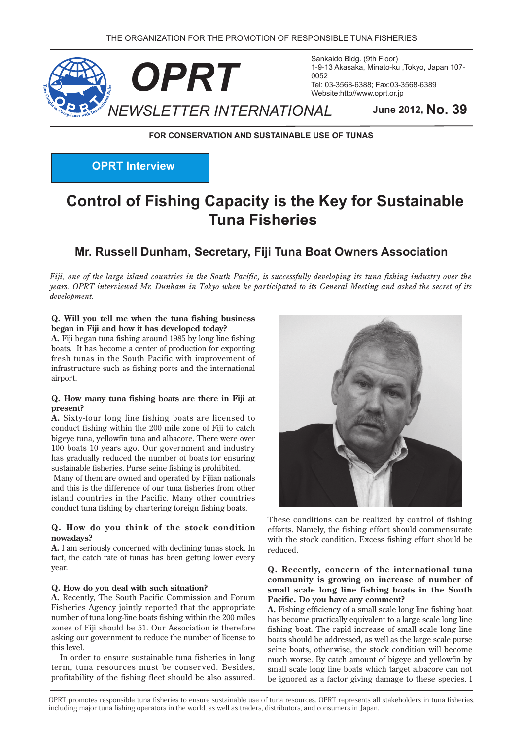

Sankaido Bldg. (9th Floor) 1-9-13 Akasaka, Minato-ku ,Tokyo, Japan 107-Tel: 03-3568-6388; Fax: 03-3568-6389 Website:http//www.oprt.or.jp

**FOR CONSERVATION AND SUSTAINABLE USE OF TUNAS** 

**OPRT** Interview

# **Control of Fishing Capacity is the Key for Sustainable Fisheries Tuna**

### **Mr. Russell Dunham, Secretary, Fiji Tuna Boat Owners Association**

*Fiji, one of the large island countries in the South Pacific, is successfully developing its tuna fishing industry over the years. OPRT interviewed Mr. Dunham in Tokyo when he participated to its General Meeting and asked the secret of its .development*

#### **Q.** Will you tell me when the tuna fishing business began in Fiji and how it has developed today?

A. Fiji began tuna fishing around 1985 by long line fishing boats. It has become a center of production for exporting fresh tunas in the South Pacific with improvement of infrastructure such as fishing ports and the international airport.

#### **Q.** How many tuna fishing boats are there in Fiji at **present?**

A. Sixty-four long line fishing boats are licensed to conduct fishing within the 200 mile zone of Fiji to catch bigeye tuna, yellowfin tuna and albacore. There were over 100 boats 10 years ago. Our government and industry has gradually reduced the number of boats for ensuring sustainable fisheries. Purse seine fishing is prohibited.

Many of them are owned and operated by Fijian nationals and this is the difference of our tuna fisheries from other island countries in the Pacific. Many other countries conduct tuna fishing by chartering foreign fishing boats.

#### **Q.** How do you think of the stock condition **?nowadays**

A. I am seriously concerned with declining tunas stock. In fact, the catch rate of tunas has been getting lower every year.

#### Q. How do you deal with such situation?

A. Recently, The South Pacific Commission and Forum Fisheries Agency jointly reported that the appropriate number of tuna long-line boats fishing within the 200 miles zones of Fiji should be 51. Our Association is therefore asking our government to reduce the number of license to this level

In order to ensure sustainable tuna fisheries in long term, tuna resources must be conserved. Besides, profitability of the fishing fleet should be also assured.



These conditions can be realized by control of fishing efforts. Namely, the fishing effort should commensurate with the stock condition. Excess fishing effort should be. .reduced

#### **Q.** Recently, concern of the international tuna community is growing on increase of number of small scale long line fishing boats in the South Pacific. Do you have any comment?

A. Fishing efficiency of a small scale long line fishing boat has become practically equivalent to a large scale long line fishing boat. The rapid increase of small scale long line boats should be addressed, as well as the large scale purse seine boats, otherwise, the stock condition will become much worse. By catch amount of bigeye and yellowfin by small scale long line boats which target albacore can not be ignored as a factor giving damage to these species. I

OPRT promotes responsible tuna fisheries to ensure sustainable use of tuna resources. OPRT represents all stakeholders in tuna fisheries, including major tuna fishing operators in the world, as well as traders, distributors, and consumers in Japan.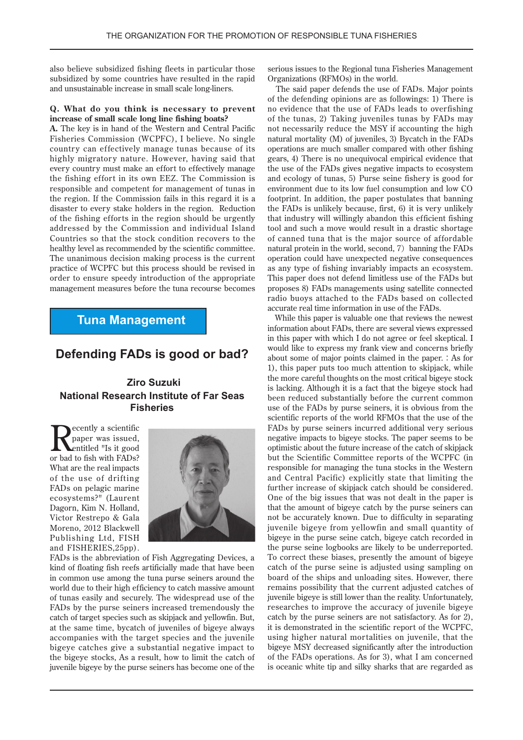also believe subsidized fishing fleets in particular those subsidized by some countries have resulted in the rapid and unsustainable increase in small scale long-liners.

#### **Q.** What do you think is necessary to prevent increase of small scale long line fishing boats?

A. The key is in hand of the Western and Central Pacific Fisheries Commission (WCPFC), I believe. No single country can effectively manage tunas because of its highly migratory nature. However, having said that every country must make an effort to effectively manage the fishing effort in its own EEZ. The Commission is responsible and competent for management of tunas in the region. If the Commission fails in this regard it is a disaster to every stake holders in the region. Reduction of the fishing efforts in the region should be urgently addressed by the Commission and individual Island Countries so that the stock condition recovers to the healthy level as recommended by the scientific committee. The unanimous decision making process is the current practice of WCPFC but this process should be revised in order to ensure speedy introduction of the appropriate management measures before the tuna recourse becomes

### **Tuna Management**

### **Defending FADs is good or bad?**

### **Ziro Suzuki National Research Institute of Far Seas Fisheries**

**Secondly** a scientific<br>paper was issued,<br>exhalted "Is it good paper was issued, entitled "Is it good or bad to fish with FADs? What are the real impacts of the use of drifting FADs on pelagic marine ecosystems?" (Laurent Dagorn, Kim N. Holland, Victor Restrepo & Gala Moreno, 2012 Blackwell Publishing Ltd, FISH and FISHERIES, 25pp).



FADs is the abbreviation of Fish Aggregating Devices, a kind of floating fish reefs artificially made that have been in common use among the tuna purse seiners around the world due to their high efficiency to catch massive amount of tunas easily and securely. The widespread use of the FADs by the purse seiners increased tremendously the catch of target species such as skipjack and yellowfin. But, at the same time, bycatch of juveniles of bigeye always accompanies with the target species and the juvenile bigeye catches give a substantial negative impact to the bigeye stocks, As a result, how to limit the catch of juvenile bigeye by the purse seiners has become one of the

serious issues to the Regional tuna Fisheries Management Organizations (RFMOs) in the world.

The said paper defends the use of FADs. Major points of the defending opinions are as followings: 1) There is no evidence that the use of FADs leads to overfishing of the tunas, 2) Taking juveniles tunas by FADs may not necessarily reduce the MSY if accounting the high natural mortality (M) of juveniles, 3) Bycatch in the FADs operations are much smaller compared with other fishing gears, 4) There is no unequivocal empirical evidence that the use of the FADs gives negative impacts to ecosystem and ecology of tunas, 5) Purse seine fishery is good for environment due to its low fuel consumption and low CO footprint. In addition, the paper postulates that banning the FADs is unlikely because, first,  $6$ ) it is very unlikely that industry will willingly abandon this efficient fishing tool and such a move would result in a drastic shortage of canned tuna that is the major source of affordable natural protein in the world, second,  $7)$  banning the FADs operation could have unexpected negative consequences as any type of fishing invariably impacts an ecosystem. This paper does not defend limitless use of the FADs but proposes 8) FADs managements using satellite connected radio buoys attached to the FADs based on collected accurate real time information in use of the FADs.

While this paper is valuable one that reviews the newest information about FADs, there are several views expressed in this paper with which I do not agree or feel skeptical. I would like to express my frank view and concerns briefly about some of major points claimed in the paper. : As for 1), this paper puts too much attention to skipjack, while the more careful thoughts on the most critical bigeye stock is lacking. Although it is a fact that the bigeye stock had been reduced substantially before the current common use of the FADs by purse seiners, it is obvious from the scientific reports of the world RFMOs that the use of the FADs by purse seiners incurred additional very serious negative impacts to bigeye stocks. The paper seems to be optimistic about the future increase of the catch of skipjack but the Scientific Committee reports of the WCPFC (in responsible for managing the tuna stocks in the Western and Central Pacific) explicitly state that limiting the further increase of skipjack catch should be considered. One of the big issues that was not dealt in the paper is that the amount of bigeye catch by the purse seiners can not be accurately known. Due to difficulty in separating juvenile bigeye from yellowfin and small quantity of bigeye in the purse seine catch, bigeye catch recorded in the purse seine logbooks are likely to be underreported. To correct these biases, presently the amount of bigeye catch of the purse seine is adjusted using sampling on board of the ships and unloading sites. However, there remains possibility that the current adjusted catches of juvenile bigeye is still lower than the reality. Unfortunately, researches to improve the accuracy of juvenile bigeye catch by the purse seiners are not satisfactory. As for  $2$ , it is demonstrated in the scientific report of the WCPFC, using higher natural mortalities on juvenile, that the bigeye MSY decreased significantly after the introduction of the FADs operations. As for 3), what I am concerned is oceanic white tip and silky sharks that are regarded as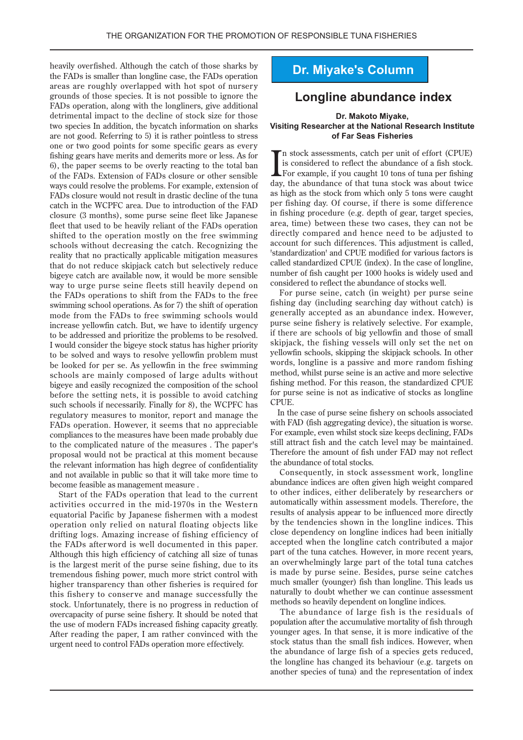heavily overfished. Although the catch of those sharks by the FADs is smaller than longline case, the FADs operation areas are roughly overlapped with hot spot of nursery grounds of those species. It is not possible to ignore the FADs operation, along with the longliners, give additional detrimental impact to the decline of stock size for those two species In addition, the bycatch information on sharks are not good. Referring to 5) it is rather pointless to stress one or two good points for some specific gears as every fishing gears have merits and demerits more or less. As for  $6$ , the paper seems to be overly reacting to the total ban of the FADs. Extension of FADs closure or other sensible. ways could resolve the problems. For example, extension of FADs closure would not result in drastic decline of the tuna catch in the WCPFC area. Due to introduction of the FAD closure (3 months), some purse seine fleet like Japanese fleet that used to be heavily reliant of the FADs operation shifted to the operation mostly on the free swimming schools without decreasing the catch. Recognizing the reality that no practically applicable mitigation measures that do not reduce skipjack catch but selectively reduce bigeye catch are available now, it would be more sensible way to urge purse seine fleets still heavily depend on the FADs operations to shift from the FADs to the free swimming school operations. As for 7 the shift of operation mode from the FADs to free swimming schools would increase yellowfin catch. But, we have to identify urgency to be addressed and prioritize the problems to be resolved. I would consider the bigeye stock status has higher priority to be solved and ways to resolve vellowfin problem must be looked for per se. As yellowfin in the free swimming schools are mainly composed of large adults without bigeye and easily recognized the composition of the school before the setting nets, it is possible to avoid catching such schools if necessarily. Finally for 8), the WCPFC has regulatory measures to monitor, report and manage the FADs operation. However, it seems that no appreciable compliances to the measures have been made probably due to the complicated nature of the measures . The paper's proposal would not be practical at this moment because the relevant information has high degree of confidentiality and not available in public so that it will take more time to become feasible as management measure.

Start of the FADs operation that lead to the current activities occurred in the mid-1970s in the Western equatorial Pacific by Japanese fishermen with a modest operation only relied on natural floating objects like drifting logs. Amazing increase of fishing efficiency of the FADs afterword is well documented in this paper. Although this high efficiency of catching all size of tunas is the largest merit of the purse seine fishing, due to its tremendous fishing power, much more strict control with higher transparency than other fisheries is required for this fishery to conserve and manage successfully the stock. Unfortunately, there is no progress in reduction of overcapacity of purse seine fishery. It should be noted that the use of modern FADs increased fishing capacity greatly. After reading the paper, I am rather convinced with the urgent need to control FADs operation more effectively.

# **Dr. Miyake's Column**

### **Longline abundance index**

#### **Dr. Makoto Miyake, Visiting Researcher at the National Research Institute of Far Seas Fisheries**

In stock assessments, catch per unit of effort (CPUE)<br>is considered to reflect the abundance of a fish stock.<br>For example, if you caught 10 tons of tuna per fishing<br>day the abundance of that tune atask was about twise In stock assessments, catch per unit of effort  $(CPUE)$ is considered to reflect the abundance of a fish stock. day, the abundance of that tuna stock was about twice as high as the stock from which only 5 tons were caught per fishing day. Of course, if there is some difference in fishing procedure (e.g. depth of gear, target species, area, time) between these two cases, they can not be directly compared and hence need to be adjusted to account for such differences. This adjustment is called, 'standardization' and CPUE modified for various factors is called standardized CPUE (index). In the case of longline, number of fish caught per 1000 hooks is widely used and considered to reflect the abundance of stocks well.

For purse seine, catch (in weight) per purse seine fishing day (including searching day without catch) is generally accepted as an abundance index. However, purse seine fishery is relatively selective. For example, if there are schools of big vellowfin and those of small skipiack, the fishing vessels will only set the net on yellowfin schools, skipping the skipjack schools. In other words, longline is a passive and more random fishing method, whilst purse seine is an active and more selective fishing method. For this reason, the standardized CPUE for purse seine is not as indicative of stocks as longline .CPUE

In the case of purse seine fishery on schools associated with FAD (fish aggregating device), the situation is worse. For example, even whilst stock size keeps declining, FADs still attract fish and the catch level may be maintained. Therefore the amount of fish under FAD may not reflect the abundance of total stocks.

Consequently, in stock assessment work, longline abundance indices are often given high weight compared to other indices, either deliberately by researchers or automatically within assessment models. Therefore, the results of analysis appear to be influenced more directly by the tendencies shown in the longline indices. This close dependency on longline indices had been initially accepted when the longline catch contributed a major part of the tuna catches. However, in more recent years, an overwhelmingly large part of the total tuna catches is made by purse seine. Besides, purse seine catches much smaller (younger) fish than longline. This leads us naturally to doubt whether we can continue assessment methods so heavily dependent on longline indices.

The abundance of large fish is the residuals of population after the accumulative mortality of fish through younger ages. In that sense, it is more indicative of the stock status than the small fish indices. However, when the abundance of large fish of a species gets reduced, the longline has changed its behaviour (e.g. targets on another species of tuna) and the representation of index